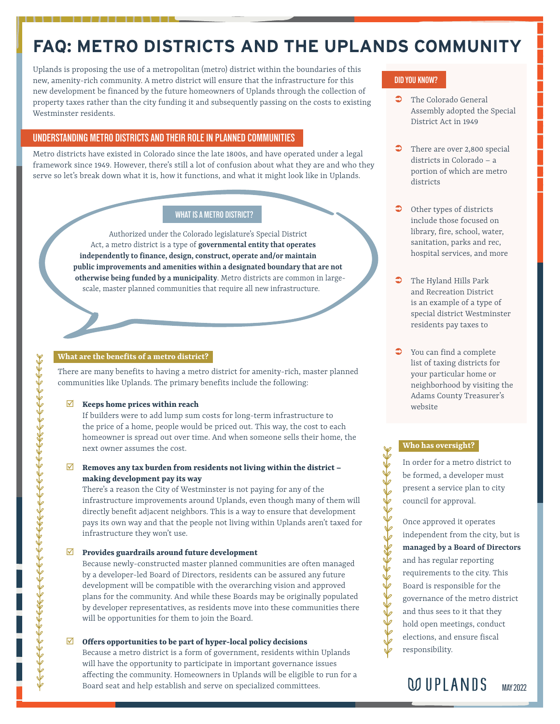# **FAQ: METRO DISTRICTS AND THE UPLANDS COMMUNITY**

Uplands is proposing the use of a metropolitan (metro) district within the boundaries of this new, amenity-rich community. A metro district will ensure that the infrastructure for this new development be financed by the future homeowners of Uplands through the collection of property taxes rather than the city funding it and subsequently passing on the costs to existing Westminster residents.

# **UNDERSTANDING METRO DISTRICTS AND THEIR ROLE IN PLANNED COMMUNITIES**

Metro districts have existed in Colorado since the late 1800s, and have operated under a legal framework since 1949. However, there's still a lot of confusion about what they are and who they serve so let's break down what it is, how it functions, and what it might look like in Uplands.

## **WHAT IS A METRO DISTRICT?**

Authorized under the Colorado legislature's Special District Act, a metro district is a type of **governmental entity that operates independently to finance, design, construct, operate and/or maintain public improvements and amenities within a designated boundary that are not otherwise being funded by a municipality**. Metro districts are common in largescale, master planned communities that require all new infrastructure.

# **What are the benefits of a metro district?**

There are many benefits to having a metro district for amenity-rich, master planned communities like Uplands. The primary benefits include the following:

#### **Keeps home prices within reach**

If builders were to add lump sum costs for long-term infrastructure to the price of a home, people would be priced out. This way, the cost to each homeowner is spread out over time. And when someone sells their home, the next owner assumes the cost.

#### $✓$  Removes any tax burden from residents not living within the district **making development pay its way**

There's a reason the City of Westminster is not paying for any of the infrastructure improvements around Uplands, even though many of them will directly benefit adjacent neighbors. This is a way to ensure that development pays its own way and that the people not living within Uplands aren't taxed for infrastructure they won't use.

#### ; **Provides guardrails around future development**

Because newly-constructed master planned communities are often managed by a developer-led Board of Directors, residents can be assured any future development will be compatible with the overarching vision and approved plans for the community. And while these Boards may be originally populated by developer representatives, as residents move into these communities there will be opportunities for them to join the Board.

#### $✓$  **Offers opportunities to be part of hyper-local policy decisions**

Because a metro district is a form of government, residents within Uplands will have the opportunity to participate in important governance issues affecting the community. Homeowners in Uplands will be eligible to run for a Board seat and help establish and serve on specialized committees.

# **DID YOU KNOW?**

- $\bullet$  The Colorado General Assembly adopted the Special District Act in 1949
- $\bullet$  There are over 2,800 special districts in Colorado – a portion of which are metro districts
- $\bullet$  Other types of districts include those focused on library, fire, school, water, sanitation, parks and rec, hospital services, and more
- The Hyland Hills Park and Recreation District is an example of a type of special district Westminster residents pay taxes to
- You can find a complete list of taxing districts for your particular home or neighborhood by visiting the Adams County Treasurer's website

#### **Who has oversight?**

In order for a metro district to be formed, a developer must present a service plan to city council for approval.

Once approved it operates independent from the city, but is **managed by a Board of Directors** and has regular reporting requirements to the city. This Board is responsible for the governance of the metro district and thus sees to it that they hold open meetings, conduct elections, and ensure fiscal responsibility.